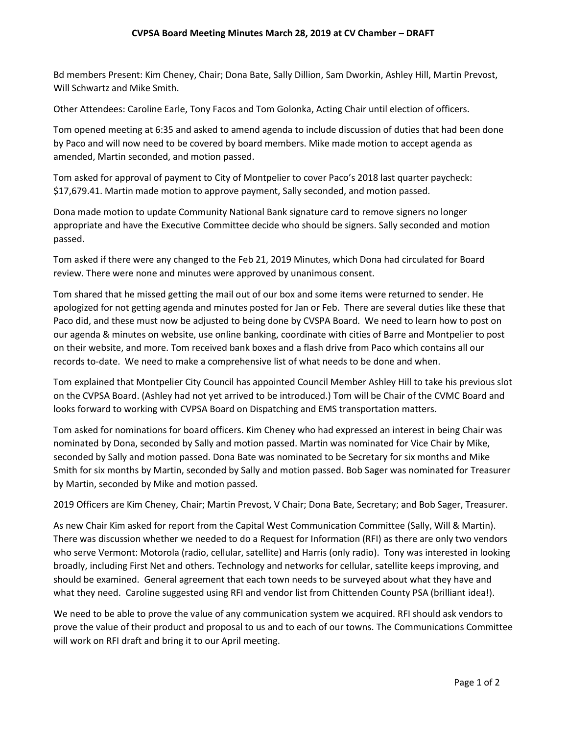Bd members Present: Kim Cheney, Chair; Dona Bate, Sally Dillion, Sam Dworkin, Ashley Hill, Martin Prevost, Will Schwartz and Mike Smith.

Other Attendees: Caroline Earle, Tony Facos and Tom Golonka, Acting Chair until election of officers.

Tom opened meeting at 6:35 and asked to amend agenda to include discussion of duties that had been done by Paco and will now need to be covered by board members. Mike made motion to accept agenda as amended, Martin seconded, and motion passed.

Tom asked for approval of payment to City of Montpelier to cover Paco's 2018 last quarter paycheck: \$17,679.41. Martin made motion to approve payment, Sally seconded, and motion passed.

Dona made motion to update Community National Bank signature card to remove signers no longer appropriate and have the Executive Committee decide who should be signers. Sally seconded and motion passed.

Tom asked if there were any changed to the Feb 21, 2019 Minutes, which Dona had circulated for Board review. There were none and minutes were approved by unanimous consent.

Tom shared that he missed getting the mail out of our box and some items were returned to sender. He apologized for not getting agenda and minutes posted for Jan or Feb. There are several duties like these that Paco did, and these must now be adjusted to being done by CVSPA Board. We need to learn how to post on our agenda & minutes on website, use online banking, coordinate with cities of Barre and Montpelier to post on their website, and more. Tom received bank boxes and a flash drive from Paco which contains all our records to-date. We need to make a comprehensive list of what needs to be done and when.

Tom explained that Montpelier City Council has appointed Council Member Ashley Hill to take his previous slot on the CVPSA Board. (Ashley had not yet arrived to be introduced.) Tom will be Chair of the CVMC Board and looks forward to working with CVPSA Board on Dispatching and EMS transportation matters.

Tom asked for nominations for board officers. Kim Cheney who had expressed an interest in being Chair was nominated by Dona, seconded by Sally and motion passed. Martin was nominated for Vice Chair by Mike, seconded by Sally and motion passed. Dona Bate was nominated to be Secretary for six months and Mike Smith for six months by Martin, seconded by Sally and motion passed. Bob Sager was nominated for Treasurer by Martin, seconded by Mike and motion passed.

2019 Officers are Kim Cheney, Chair; Martin Prevost, V Chair; Dona Bate, Secretary; and Bob Sager, Treasurer.

As new Chair Kim asked for report from the Capital West Communication Committee (Sally, Will & Martin). There was discussion whether we needed to do a Request for Information (RFI) as there are only two vendors who serve Vermont: Motorola (radio, cellular, satellite) and Harris (only radio). Tony was interested in looking broadly, including First Net and others. Technology and networks for cellular, satellite keeps improving, and should be examined. General agreement that each town needs to be surveyed about what they have and what they need. Caroline suggested using RFI and vendor list from Chittenden County PSA (brilliant idea!).

We need to be able to prove the value of any communication system we acquired. RFI should ask vendors to prove the value of their product and proposal to us and to each of our towns. The Communications Committee will work on RFI draft and bring it to our April meeting.